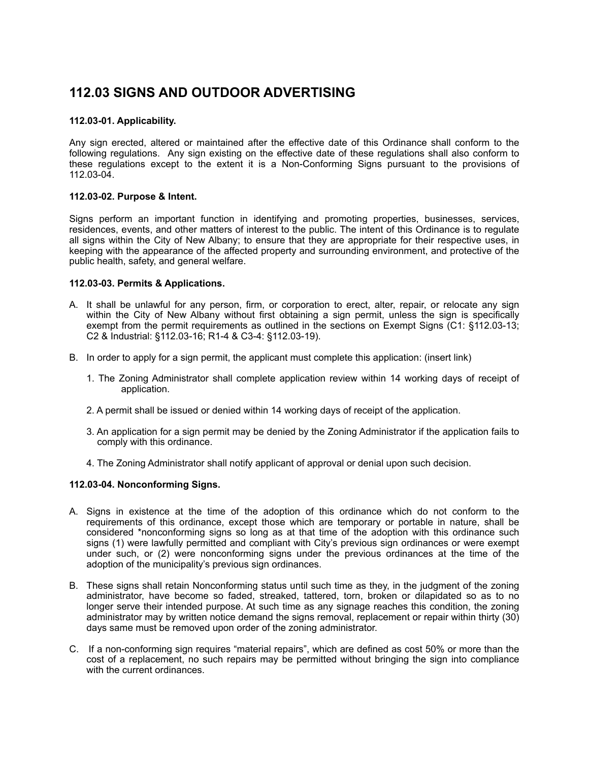# **112.03 SIGNS AND OUTDOOR ADVERTISING**

# **112.03-01. Applicability.**

Any sign erected, altered or maintained after the effective date of this Ordinance shall conform to the following regulations. Any sign existing on the effective date of these regulations shall also conform to these regulations except to the extent it is a Non-Conforming Signs pursuant to the provisions of 112.03-04.

#### **112.03-02. Purpose & Intent.**

Signs perform an important function in identifying and promoting properties, businesses, services, residences, events, and other matters of interest to the public. The intent of this Ordinance is to regulate all signs within the City of New Albany; to ensure that they are appropriate for their respective uses, in keeping with the appearance of the affected property and surrounding environment, and protective of the public health, safety, and general welfare.

# **112.03-03. Permits & Applications.**

- A. It shall be unlawful for any person, firm, or corporation to erect, alter, repair, or relocate any sign within the City of New Albany without first obtaining a sign permit, unless the sign is specifically exempt from the permit requirements as outlined in the sections on Exempt Signs (C1: §112.03-13; C2 & Industrial: §112.03-16; R1-4 & C3-4: §112.03-19).
- B. In order to apply for a sign permit, the applicant must complete this application: (insert link)
	- 1. The Zoning Administrator shall complete application review within 14 working days of receipt of application.
	- 2. A permit shall be issued or denied within 14 working days of receipt of the application.
	- 3. An application for a sign permit may be denied by the Zoning Administrator if the application fails to comply with this ordinance.
	- 4. The Zoning Administrator shall notify applicant of approval or denial upon such decision.

# **112.03-04. Nonconforming Signs.**

- A. Signs in existence at the time of the adoption of this ordinance which do not conform to the requirements of this ordinance, except those which are temporary or portable in nature, shall be considered \*nonconforming signs so long as at that time of the adoption with this ordinance such signs (1) were lawfully permitted and compliant with City's previous sign ordinances or were exempt under such, or (2) were nonconforming signs under the previous ordinances at the time of the adoption of the municipality's previous sign ordinances.
- B. These signs shall retain Nonconforming status until such time as they, in the judgment of the zoning administrator, have become so faded, streaked, tattered, torn, broken or dilapidated so as to no longer serve their intended purpose. At such time as any signage reaches this condition, the zoning administrator may by written notice demand the signs removal, replacement or repair within thirty (30) days same must be removed upon order of the zoning administrator.
- C. If a non-conforming sign requires "material repairs", which are defined as cost 50% or more than the cost of a replacement, no such repairs may be permitted without bringing the sign into compliance with the current ordinances.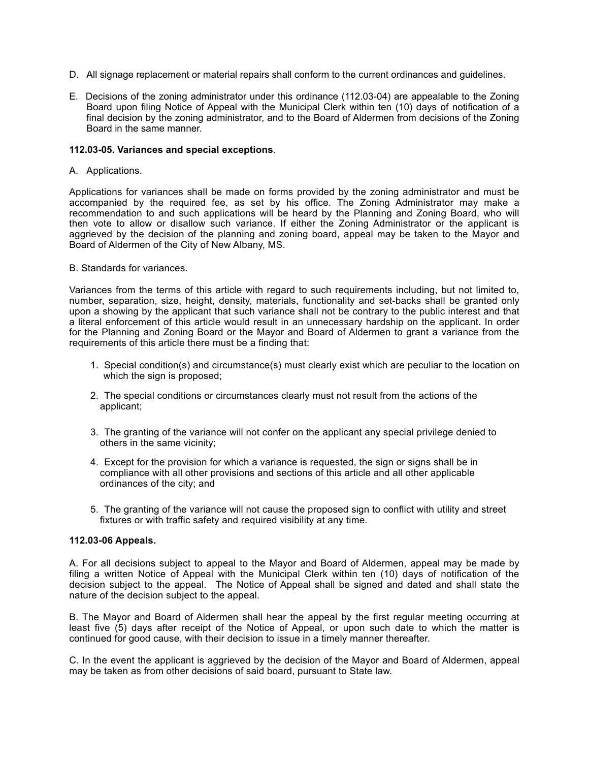- D. All signage replacement or material repairs shall conform to the current ordinances and guidelines.
- E. Decisions of the zoning administrator under this ordinance (112.03-04) are appealable to the Zoning Board upon filing Notice of Appeal with the Municipal Clerk within ten (10) days of notification of a final decision by the zoning administrator, and to the Board of Aldermen from decisions of the Zoning Board in the same manner.

#### **112.03-05. Variances and special exceptions**.

#### A. Applications.

Applications for variances shall be made on forms provided by the zoning administrator and must be accompanied by the required fee, as set by his office. The Zoning Administrator may make a recommendation to and such applications will be heard by the Planning and Zoning Board, who will then vote to allow or disallow such variance. If either the Zoning Administrator or the applicant is aggrieved by the decision of the planning and zoning board, appeal may be taken to the Mayor and Board of Aldermen of the City of New Albany, MS.

#### B. Standards for variances.

Variances from the terms of this article with regard to such requirements including, but not limited to, number, separation, size, height, density, materials, functionality and set-backs shall be granted only upon a showing by the applicant that such variance shall not be contrary to the public interest and that a literal enforcement of this article would result in an unnecessary hardship on the applicant. In order for the Planning and Zoning Board or the Mayor and Board of Aldermen to grant a variance from the requirements of this article there must be a finding that:

- 1. Special condition(s) and circumstance(s) must clearly exist which are peculiar to the location on which the sign is proposed;
- 2. The special conditions or circumstances clearly must not result from the actions of the applicant;
- 3. The granting of the variance will not confer on the applicant any special privilege denied to others in the same vicinity;
- 4. Except for the provision for which a variance is requested, the sign or signs shall be in compliance with all other provisions and sections of this article and all other applicable ordinances of the city; and
- 5. The granting of the variance will not cause the proposed sign to conflict with utility and street fixtures or with traffic safety and required visibility at any time.

#### **112.03-06 Appeals.**

A. For all decisions subject to appeal to the Mayor and Board of Aldermen, appeal may be made by filing a written Notice of Appeal with the Municipal Clerk within ten (10) days of notification of the decision subject to the appeal. The Notice of Appeal shall be signed and dated and shall state the nature of the decision subject to the appeal.

B. The Mayor and Board of Aldermen shall hear the appeal by the first regular meeting occurring at least five (5) days after receipt of the Notice of Appeal, or upon such date to which the matter is continued for good cause, with their decision to issue in a timely manner thereafter.

C. In the event the applicant is aggrieved by the decision of the Mayor and Board of Aldermen, appeal may be taken as from other decisions of said board, pursuant to State law.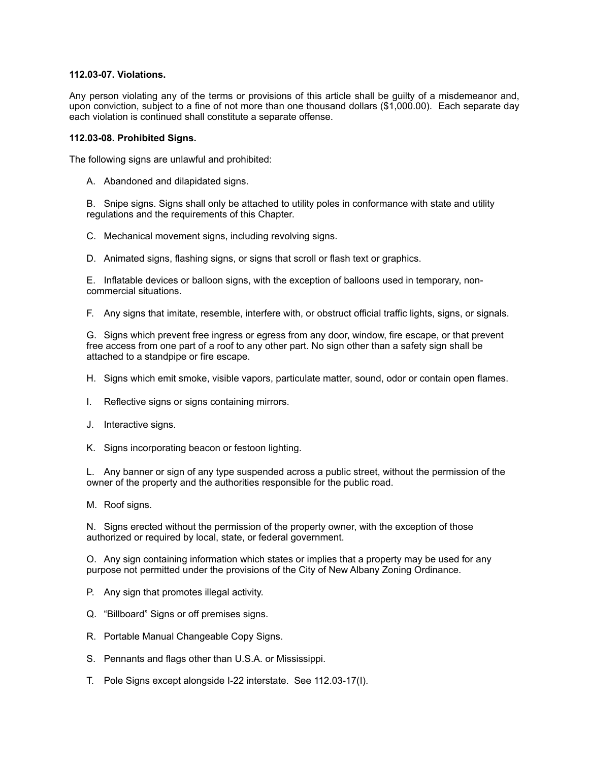### **112.03-07. Violations.**

Any person violating any of the terms or provisions of this article shall be guilty of a misdemeanor and, upon conviction, subject to a fine of not more than one thousand dollars (\$1,000.00). Each separate day each violation is continued shall constitute a separate offense.

#### **112.03-08. Prohibited Signs.**

The following signs are unlawful and prohibited:

A. Abandoned and dilapidated signs.

B. Snipe signs. Signs shall only be attached to utility poles in conformance with state and utility regulations and the requirements of this Chapter.

C. Mechanical movement signs, including revolving signs.

D. Animated signs, flashing signs, or signs that scroll or flash text or graphics.

E. Inflatable devices or balloon signs, with the exception of balloons used in temporary, noncommercial situations.

F. Any signs that imitate, resemble, interfere with, or obstruct official traffic lights, signs, or signals.

G. Signs which prevent free ingress or egress from any door, window, fire escape, or that prevent free access from one part of a roof to any other part. No sign other than a safety sign shall be attached to a standpipe or fire escape.

H. Signs which emit smoke, visible vapors, particulate matter, sound, odor or contain open flames.

- I. Reflective signs or signs containing mirrors.
- J. Interactive signs.

K. Signs incorporating beacon or festoon lighting.

L. Any banner or sign of any type suspended across a public street, without the permission of the owner of the property and the authorities responsible for the public road.

M. Roof signs.

N. Signs erected without the permission of the property owner, with the exception of those authorized or required by local, state, or federal government.

O. Any sign containing information which states or implies that a property may be used for any purpose not permitted under the provisions of the City of New Albany Zoning Ordinance.

- P. Any sign that promotes illegal activity.
- Q. "Billboard" Signs or off premises signs.
- R. Portable Manual Changeable Copy Signs.
- S. Pennants and flags other than U.S.A. or Mississippi.
- T. Pole Signs except alongside I-22 interstate. See 112.03-17(I).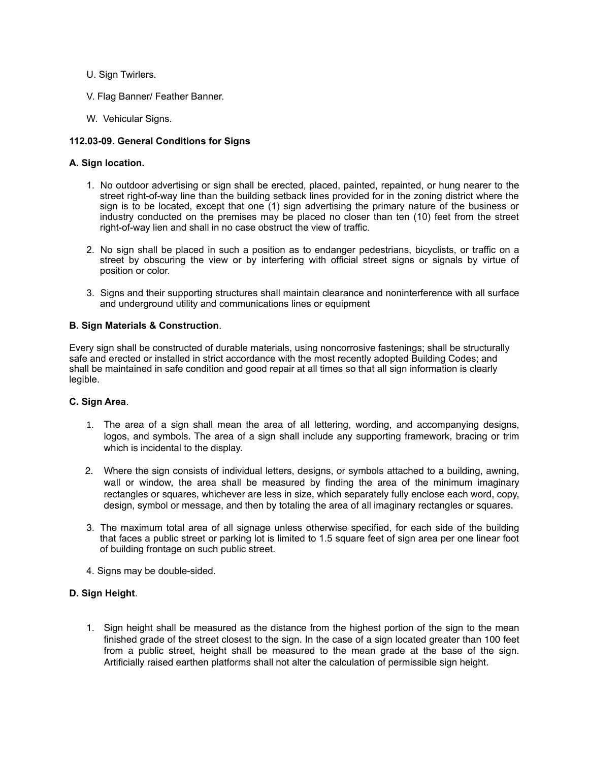- U. Sign Twirlers.
- V. Flag Banner/ Feather Banner.
- W. Vehicular Signs.

# **112.03-09. General Conditions for Signs**

#### **A. Sign location.**

- 1. No outdoor advertising or sign shall be erected, placed, painted, repainted, or hung nearer to the street right-of-way line than the building setback lines provided for in the zoning district where the sign is to be located, except that one (1) sign advertising the primary nature of the business or industry conducted on the premises may be placed no closer than ten (10) feet from the street right-of-way lien and shall in no case obstruct the view of traffic.
- 2. No sign shall be placed in such a position as to endanger pedestrians, bicyclists, or traffic on a street by obscuring the view or by interfering with official street signs or signals by virtue of position or color.
- 3. Signs and their supporting structures shall maintain clearance and noninterference with all surface and underground utility and communications lines or equipment

# **B. Sign Materials & Construction**.

Every sign shall be constructed of durable materials, using noncorrosive fastenings; shall be structurally safe and erected or installed in strict accordance with the most recently adopted Building Codes; and shall be maintained in safe condition and good repair at all times so that all sign information is clearly legible.

#### **C. Sign Area**.

- 1. The area of a sign shall mean the area of all lettering, wording, and accompanying designs, logos, and symbols. The area of a sign shall include any supporting framework, bracing or trim which is incidental to the display.
- 2. Where the sign consists of individual letters, designs, or symbols attached to a building, awning, wall or window, the area shall be measured by finding the area of the minimum imaginary rectangles or squares, whichever are less in size, which separately fully enclose each word, copy, design, symbol or message, and then by totaling the area of all imaginary rectangles or squares.
- 3. The maximum total area of all signage unless otherwise specified, for each side of the building that faces a public street or parking lot is limited to 1.5 square feet of sign area per one linear foot of building frontage on such public street.
- 4. Signs may be double-sided.

#### **D. Sign Height**.

1. Sign height shall be measured as the distance from the highest portion of the sign to the mean finished grade of the street closest to the sign. In the case of a sign located greater than 100 feet from a public street, height shall be measured to the mean grade at the base of the sign. Artificially raised earthen platforms shall not alter the calculation of permissible sign height.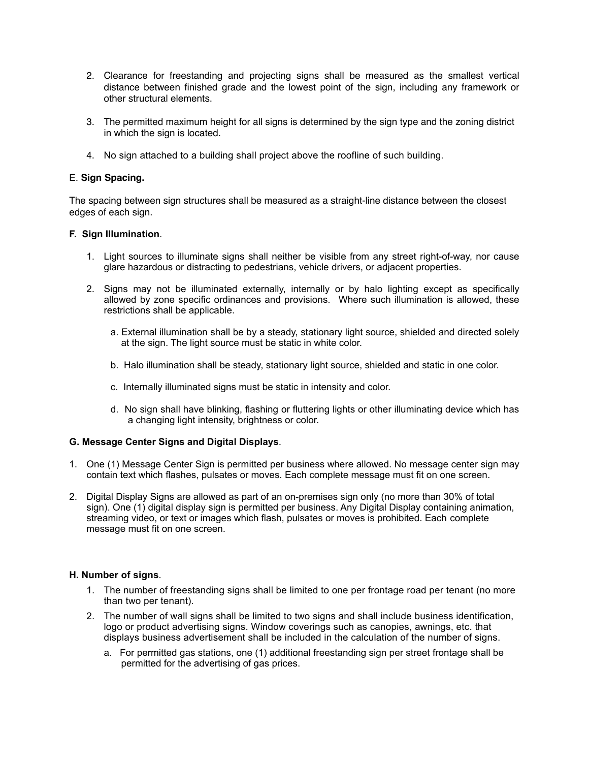- 2. Clearance for freestanding and projecting signs shall be measured as the smallest vertical distance between finished grade and the lowest point of the sign, including any framework or other structural elements.
- 3. The permitted maximum height for all signs is determined by the sign type and the zoning district in which the sign is located.
- 4. No sign attached to a building shall project above the roofline of such building.

# E. **Sign Spacing.**

The spacing between sign structures shall be measured as a straight-line distance between the closest edges of each sign.

# **F. Sign Illumination**.

- 1. Light sources to illuminate signs shall neither be visible from any street right-of-way, nor cause glare hazardous or distracting to pedestrians, vehicle drivers, or adjacent properties.
- 2. Signs may not be illuminated externally, internally or by halo lighting except as specifically allowed by zone specific ordinances and provisions. Where such illumination is allowed, these restrictions shall be applicable.
	- a. External illumination shall be by a steady, stationary light source, shielded and directed solely at the sign. The light source must be static in white color.
	- b. Halo illumination shall be steady, stationary light source, shielded and static in one color.
	- c. Internally illuminated signs must be static in intensity and color.
	- d. No sign shall have blinking, flashing or fluttering lights or other illuminating device which has a changing light intensity, brightness or color.

#### **G. Message Center Signs and Digital Displays**.

- 1. One (1) Message Center Sign is permitted per business where allowed. No message center sign may contain text which flashes, pulsates or moves. Each complete message must fit on one screen.
- 2. Digital Display Signs are allowed as part of an on-premises sign only (no more than 30% of total sign). One (1) digital display sign is permitted per business. Any Digital Display containing animation, streaming video, or text or images which flash, pulsates or moves is prohibited. Each complete message must fit on one screen.

#### **H. Number of signs***.*

- 1. The number of freestanding signs shall be limited to one per frontage road per tenant (no more than two per tenant).
- 2. The number of wall signs shall be limited to two signs and shall include business identification, logo or product advertising signs. Window coverings such as canopies, awnings, etc. that displays business advertisement shall be included in the calculation of the number of signs.
	- a. For permitted gas stations, one (1) additional freestanding sign per street frontage shall be permitted for the advertising of gas prices.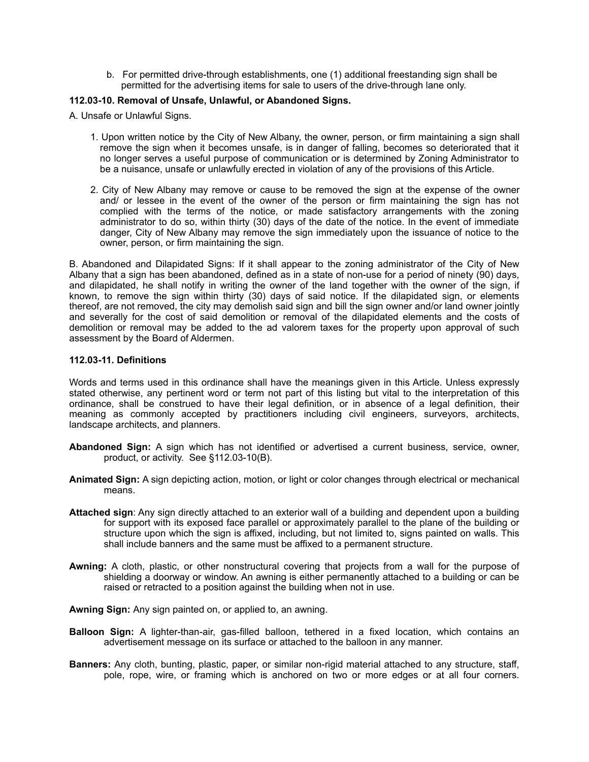b. For permitted drive-through establishments, one (1) additional freestanding sign shall be permitted for the advertising items for sale to users of the drive-through lane only.

#### **112.03-10. Removal of Unsafe, Unlawful, or Abandoned Signs.**

A. Unsafe or Unlawful Signs.

- 1. Upon written notice by the City of New Albany, the owner, person, or firm maintaining a sign shall remove the sign when it becomes unsafe, is in danger of falling, becomes so deteriorated that it no longer serves a useful purpose of communication or is determined by Zoning Administrator to be a nuisance, unsafe or unlawfully erected in violation of any of the provisions of this Article.
- 2. City of New Albany may remove or cause to be removed the sign at the expense of the owner and/ or lessee in the event of the owner of the person or firm maintaining the sign has not complied with the terms of the notice, or made satisfactory arrangements with the zoning administrator to do so, within thirty (30) days of the date of the notice. In the event of immediate danger, City of New Albany may remove the sign immediately upon the issuance of notice to the owner, person, or firm maintaining the sign.

B. Abandoned and Dilapidated Signs: If it shall appear to the zoning administrator of the City of New Albany that a sign has been abandoned, defined as in a state of non-use for a period of ninety (90) days, and dilapidated, he shall notify in writing the owner of the land together with the owner of the sign, if known, to remove the sign within thirty (30) days of said notice. If the dilapidated sign, or elements thereof, are not removed, the city may demolish said sign and bill the sign owner and/or land owner jointly and severally for the cost of said demolition or removal of the dilapidated elements and the costs of demolition or removal may be added to the ad valorem taxes for the property upon approval of such assessment by the Board of Aldermen.

#### **112.03-11. Definitions**

Words and terms used in this ordinance shall have the meanings given in this Article. Unless expressly stated otherwise, any pertinent word or term not part of this listing but vital to the interpretation of this ordinance, shall be construed to have their legal definition, or in absence of a legal definition, their meaning as commonly accepted by practitioners including civil engineers, surveyors, architects, landscape architects, and planners.

- **Abandoned Sign:** A sign which has not identified or advertised a current business, service, owner, product, or activity. See §112.03-10(B).
- **Animated Sign:** A sign depicting action, motion, or light or color changes through electrical or mechanical means.
- **Attached sign**: Any sign directly attached to an exterior wall of a building and dependent upon a building for support with its exposed face parallel or approximately parallel to the plane of the building or structure upon which the sign is affixed, including, but not limited to, signs painted on walls. This shall include banners and the same must be affixed to a permanent structure.
- **Awning:** A cloth, plastic, or other nonstructural covering that projects from a wall for the purpose of shielding a doorway or window. An awning is either permanently attached to a building or can be raised or retracted to a position against the building when not in use.
- **Awning Sign:** Any sign painted on, or applied to, an awning.
- **Balloon Sign:** A lighter-than-air, gas-filled balloon, tethered in a fixed location, which contains an advertisement message on its surface or attached to the balloon in any manner.
- **Banners:** Any cloth, bunting, plastic, paper, or similar non-rigid material attached to any structure, staff, pole, rope, wire, or framing which is anchored on two or more edges or at all four corners.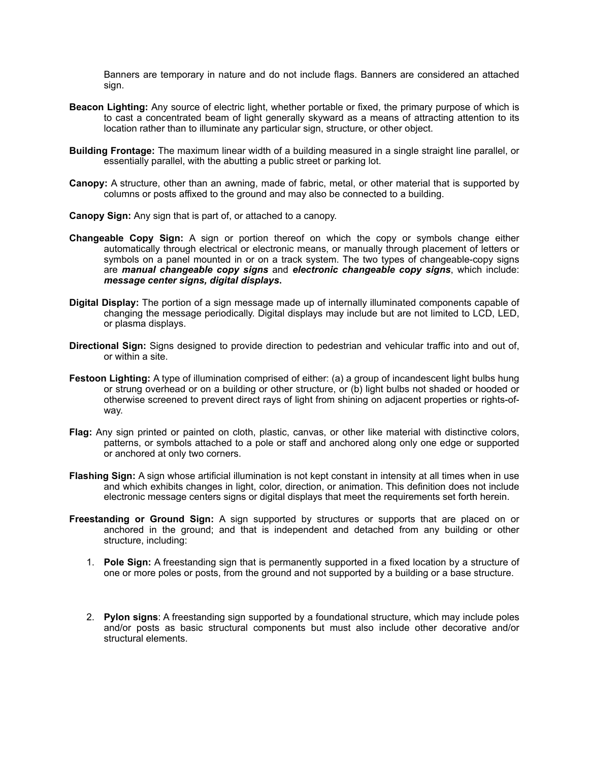Banners are temporary in nature and do not include flags. Banners are considered an attached sign.

- **Beacon Lighting:** Any source of electric light, whether portable or fixed, the primary purpose of which is to cast a concentrated beam of light generally skyward as a means of attracting attention to its location rather than to illuminate any particular sign, structure, or other object.
- **Building Frontage:** The maximum linear width of a building measured in a single straight line parallel, or essentially parallel, with the abutting a public street or parking lot.
- **Canopy:** A structure, other than an awning, made of fabric, metal, or other material that is supported by columns or posts affixed to the ground and may also be connected to a building.
- **Canopy Sign:** Any sign that is part of, or attached to a canopy.
- **Changeable Copy Sign:** A sign or portion thereof on which the copy or symbols change either automatically through electrical or electronic means, or manually through placement of letters or symbols on a panel mounted in or on a track system. The two types of changeable-copy signs are *manual changeable copy signs* and *electronic changeable copy signs*, which include: *message center signs, digital displays***.**
- **Digital Display:** The portion of a sign message made up of internally illuminated components capable of changing the message periodically. Digital displays may include but are not limited to LCD, LED, or plasma displays.
- **Directional Sign:** Signs designed to provide direction to pedestrian and vehicular traffic into and out of, or within a site.
- **Festoon Lighting:** A type of illumination comprised of either: (a) a group of incandescent light bulbs hung or strung overhead or on a building or other structure, or (b) light bulbs not shaded or hooded or otherwise screened to prevent direct rays of light from shining on adjacent properties or rights-ofway.
- **Flag:** Any sign printed or painted on cloth, plastic, canvas, or other like material with distinctive colors, patterns, or symbols attached to a pole or staff and anchored along only one edge or supported or anchored at only two corners.
- **Flashing Sign:** A sign whose artificial illumination is not kept constant in intensity at all times when in use and which exhibits changes in light, color, direction, or animation. This definition does not include electronic message centers signs or digital displays that meet the requirements set forth herein.
- **Freestanding or Ground Sign:** A sign supported by structures or supports that are placed on or anchored in the ground; and that is independent and detached from any building or other structure, including:
	- 1. **Pole Sign:** A freestanding sign that is permanently supported in a fixed location by a structure of one or more poles or posts, from the ground and not supported by a building or a base structure.
	- 2. **Pylon signs**: A freestanding sign supported by a foundational structure, which may include poles and/or posts as basic structural components but must also include other decorative and/or structural elements.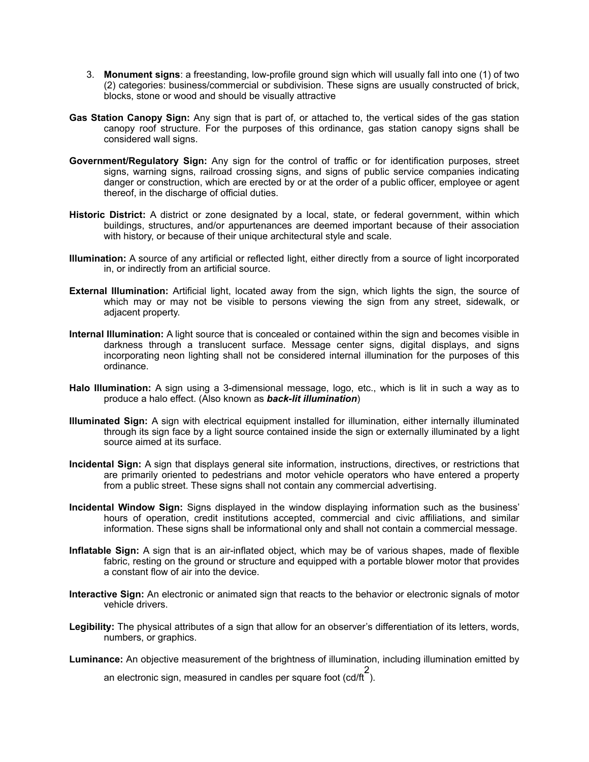- 3. **Monument signs**: a freestanding, low-profile ground sign which will usually fall into one (1) of two (2) categories: business/commercial or subdivision. These signs are usually constructed of brick, blocks, stone or wood and should be visually attractive
- **Gas Station Canopy Sign:** Any sign that is part of, or attached to, the vertical sides of the gas station canopy roof structure. For the purposes of this ordinance, gas station canopy signs shall be considered wall signs.
- **Government/Regulatory Sign:** Any sign for the control of traffic or for identification purposes, street signs, warning signs, railroad crossing signs, and signs of public service companies indicating danger or construction, which are erected by or at the order of a public officer, employee or agent thereof, in the discharge of official duties.
- **Historic District:** A district or zone designated by a local, state, or federal government, within which buildings, structures, and/or appurtenances are deemed important because of their association with history, or because of their unique architectural style and scale.
- **Illumination:** A source of any artificial or reflected light, either directly from a source of light incorporated in, or indirectly from an artificial source.
- **External Illumination:** Artificial light, located away from the sign, which lights the sign, the source of which may or may not be visible to persons viewing the sign from any street, sidewalk, or adjacent property.
- **Internal Illumination:** A light source that is concealed or contained within the sign and becomes visible in darkness through a translucent surface. Message center signs, digital displays, and signs incorporating neon lighting shall not be considered internal illumination for the purposes of this ordinance.
- **Halo Illumination:** A sign using a 3-dimensional message, logo, etc., which is lit in such a way as to produce a halo effect. (Also known as *back-lit illumination*)
- **Illuminated Sign:** A sign with electrical equipment installed for illumination, either internally illuminated through its sign face by a light source contained inside the sign or externally illuminated by a light source aimed at its surface.
- **Incidental Sign:** A sign that displays general site information, instructions, directives, or restrictions that are primarily oriented to pedestrians and motor vehicle operators who have entered a property from a public street. These signs shall not contain any commercial advertising.
- **Incidental Window Sign:** Signs displayed in the window displaying information such as the business' hours of operation, credit institutions accepted, commercial and civic affiliations, and similar information. These signs shall be informational only and shall not contain a commercial message.
- **Inflatable Sign:** A sign that is an air-inflated object, which may be of various shapes, made of flexible fabric, resting on the ground or structure and equipped with a portable blower motor that provides a constant flow of air into the device.
- **Interactive Sign:** An electronic or animated sign that reacts to the behavior or electronic signals of motor vehicle drivers.
- **Legibility:** The physical attributes of a sign that allow for an observer's differentiation of its letters, words, numbers, or graphics.

**Luminance:** An objective measurement of the brightness of illumination, including illumination emitted by

an electronic sign, measured in candles per square foot (cd/ft 2 ).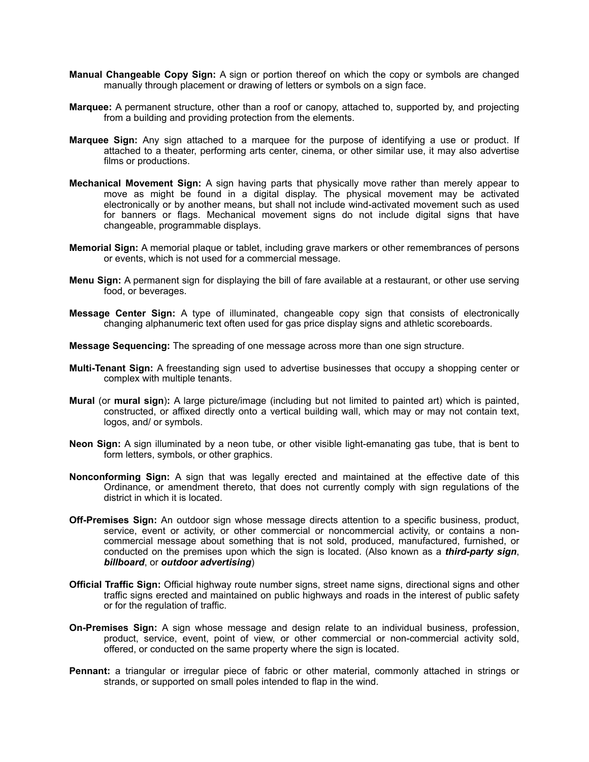- **Manual Changeable Copy Sign:** A sign or portion thereof on which the copy or symbols are changed manually through placement or drawing of letters or symbols on a sign face.
- **Marquee:** A permanent structure, other than a roof or canopy, attached to, supported by, and projecting from a building and providing protection from the elements.
- **Marquee Sign:** Any sign attached to a marquee for the purpose of identifying a use or product. If attached to a theater, performing arts center, cinema, or other similar use, it may also advertise films or productions.
- **Mechanical Movement Sign:** A sign having parts that physically move rather than merely appear to move as might be found in a digital display. The physical movement may be activated electronically or by another means, but shall not include wind-activated movement such as used for banners or flags. Mechanical movement signs do not include digital signs that have changeable, programmable displays.
- **Memorial Sign:** A memorial plaque or tablet, including grave markers or other remembrances of persons or events, which is not used for a commercial message.
- **Menu Sign:** A permanent sign for displaying the bill of fare available at a restaurant, or other use serving food, or beverages.
- **Message Center Sign:** A type of illuminated, changeable copy sign that consists of electronically changing alphanumeric text often used for gas price display signs and athletic scoreboards.

**Message Sequencing:** The spreading of one message across more than one sign structure.

- **Multi-Tenant Sign:** A freestanding sign used to advertise businesses that occupy a shopping center or complex with multiple tenants.
- **Mural** (or **mural sign**)**:** A large picture/image (including but not limited to painted art) which is painted, constructed, or affixed directly onto a vertical building wall, which may or may not contain text, logos, and/ or symbols.
- **Neon Sign:** A sign illuminated by a neon tube, or other visible light-emanating gas tube, that is bent to form letters, symbols, or other graphics.
- **Nonconforming Sign:** A sign that was legally erected and maintained at the effective date of this Ordinance, or amendment thereto, that does not currently comply with sign regulations of the district in which it is located.
- **Off-Premises Sign:** An outdoor sign whose message directs attention to a specific business, product, service, event or activity, or other commercial or noncommercial activity, or contains a noncommercial message about something that is not sold, produced, manufactured, furnished, or conducted on the premises upon which the sign is located. (Also known as a *third-party sign*, *billboard*, or *outdoor advertising*)
- **Official Traffic Sign:** Official highway route number signs, street name signs, directional signs and other traffic signs erected and maintained on public highways and roads in the interest of public safety or for the regulation of traffic.
- **On-Premises Sign:** A sign whose message and design relate to an individual business, profession, product, service, event, point of view, or other commercial or non-commercial activity sold, offered, or conducted on the same property where the sign is located.
- **Pennant:** a triangular or irregular piece of fabric or other material, commonly attached in strings or strands, or supported on small poles intended to flap in the wind.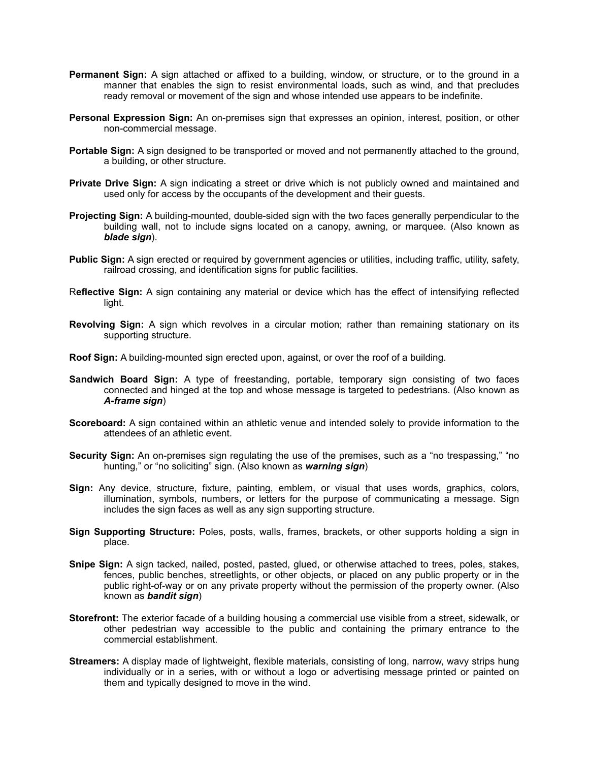- **Permanent Sign:** A sign attached or affixed to a building, window, or structure, or to the ground in a manner that enables the sign to resist environmental loads, such as wind, and that precludes ready removal or movement of the sign and whose intended use appears to be indefinite.
- **Personal Expression Sign:** An on-premises sign that expresses an opinion, interest, position, or other non-commercial message.
- **Portable Sign:** A sign designed to be transported or moved and not permanently attached to the ground, a building, or other structure.
- **Private Drive Sign:** A sign indicating a street or drive which is not publicly owned and maintained and used only for access by the occupants of the development and their guests.
- **Projecting Sign:** A building-mounted, double-sided sign with the two faces generally perpendicular to the building wall, not to include signs located on a canopy, awning, or marquee. (Also known as *blade sign*).
- **Public Sign:** A sign erected or required by government agencies or utilities, including traffic, utility, safety, railroad crossing, and identification signs for public facilities.
- R**eflective Sign:** A sign containing any material or device which has the effect of intensifying reflected light.
- **Revolving Sign:** A sign which revolves in a circular motion; rather than remaining stationary on its supporting structure.
- **Roof Sign:** A building-mounted sign erected upon, against, or over the roof of a building.
- **Sandwich Board Sign:** A type of freestanding, portable, temporary sign consisting of two faces connected and hinged at the top and whose message is targeted to pedestrians. (Also known as *A-frame sign*)
- **Scoreboard:** A sign contained within an athletic venue and intended solely to provide information to the attendees of an athletic event.
- **Security Sign:** An on-premises sign regulating the use of the premises, such as a "no trespassing," "no hunting," or "no soliciting" sign. (Also known as *warning sign*)
- **Sign:** Any device, structure, fixture, painting, emblem, or visual that uses words, graphics, colors, illumination, symbols, numbers, or letters for the purpose of communicating a message. Sign includes the sign faces as well as any sign supporting structure.
- **Sign Supporting Structure:** Poles, posts, walls, frames, brackets, or other supports holding a sign in place.
- **Snipe Sign:** A sign tacked, nailed, posted, pasted, glued, or otherwise attached to trees, poles, stakes, fences, public benches, streetlights, or other objects, or placed on any public property or in the public right-of-way or on any private property without the permission of the property owner. (Also known as *bandit sign*)
- **Storefront:** The exterior facade of a building housing a commercial use visible from a street, sidewalk, or other pedestrian way accessible to the public and containing the primary entrance to the commercial establishment.
- **Streamers:** A display made of lightweight, flexible materials, consisting of long, narrow, wavy strips hung individually or in a series, with or without a logo or advertising message printed or painted on them and typically designed to move in the wind.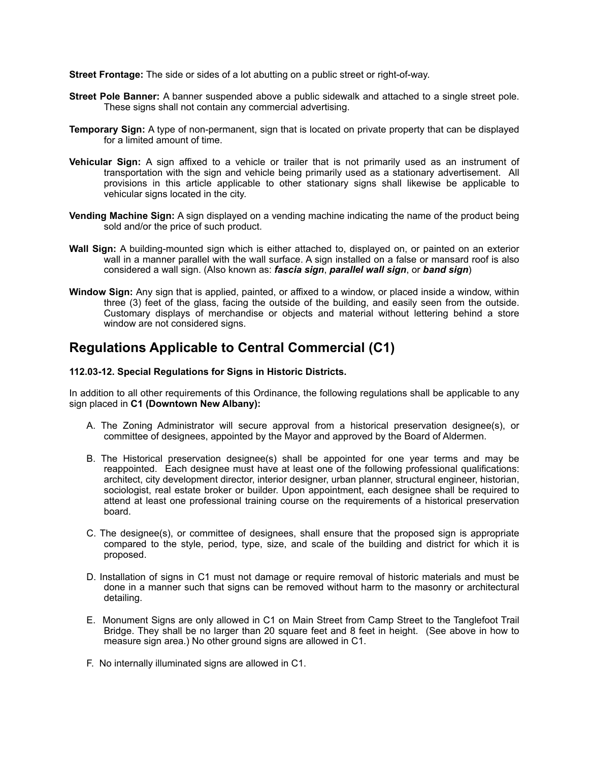**Street Frontage:** The side or sides of a lot abutting on a public street or right-of-way.

- **Street Pole Banner:** A banner suspended above a public sidewalk and attached to a single street pole. These signs shall not contain any commercial advertising.
- **Temporary Sign:** A type of non-permanent, sign that is located on private property that can be displayed for a limited amount of time.
- **Vehicular Sign:** A sign affixed to a vehicle or trailer that is not primarily used as an instrument of transportation with the sign and vehicle being primarily used as a stationary advertisement. All provisions in this article applicable to other stationary signs shall likewise be applicable to vehicular signs located in the city.
- **Vending Machine Sign:** A sign displayed on a vending machine indicating the name of the product being sold and/or the price of such product.
- **Wall Sign:** A building-mounted sign which is either attached to, displayed on, or painted on an exterior wall in a manner parallel with the wall surface. A sign installed on a false or mansard roof is also considered a wall sign. (Also known as: *fascia sign*, *parallel wall sign*, or *band sign*)
- **Window Sign:** Any sign that is applied, painted, or affixed to a window, or placed inside a window, within three (3) feet of the glass, facing the outside of the building, and easily seen from the outside. Customary displays of merchandise or objects and material without lettering behind a store window are not considered signs.

# **Regulations Applicable to Central Commercial (C1)**

#### **112.03-12. Special Regulations for Signs in Historic Districts.**

In addition to all other requirements of this Ordinance, the following regulations shall be applicable to any sign placed in **C1 (Downtown New Albany):**

- A. The Zoning Administrator will secure approval from a historical preservation designee(s), or committee of designees, appointed by the Mayor and approved by the Board of Aldermen.
- B. The Historical preservation designee(s) shall be appointed for one year terms and may be reappointed. Each designee must have at least one of the following professional qualifications: architect, city development director, interior designer, urban planner, structural engineer, historian, sociologist, real estate broker or builder. Upon appointment, each designee shall be required to attend at least one professional training course on the requirements of a historical preservation board.
- C. The designee(s), or committee of designees, shall ensure that the proposed sign is appropriate compared to the style, period, type, size, and scale of the building and district for which it is proposed.
- D. Installation of signs in C1 must not damage or require removal of historic materials and must be done in a manner such that signs can be removed without harm to the masonry or architectural detailing.
- E. Monument Signs are only allowed in C1 on Main Street from Camp Street to the Tanglefoot Trail Bridge. They shall be no larger than 20 square feet and 8 feet in height. (See above in how to measure sign area.) No other ground signs are allowed in C1.
- F. No internally illuminated signs are allowed in C1.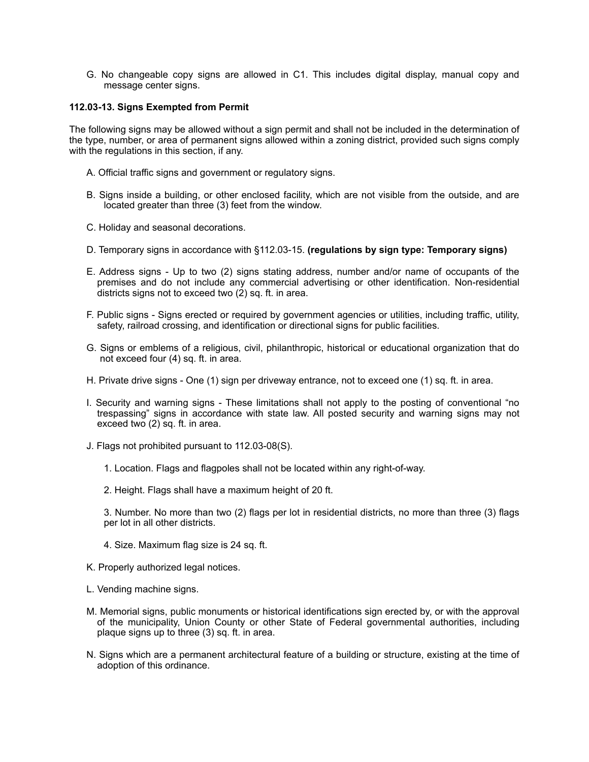G. No changeable copy signs are allowed in C1. This includes digital display, manual copy and message center signs.

#### **112.03-13. Signs Exempted from Permit**

The following signs may be allowed without a sign permit and shall not be included in the determination of the type, number, or area of permanent signs allowed within a zoning district, provided such signs comply with the regulations in this section, if any.

- A. Official traffic signs and government or regulatory signs.
- B. Signs inside a building, or other enclosed facility, which are not visible from the outside, and are located greater than three (3) feet from the window.
- C. Holiday and seasonal decorations.
- D. Temporary signs in accordance with §112.03-15. **(regulations by sign type: Temporary signs)**
- E. Address signs Up to two (2) signs stating address, number and/or name of occupants of the premises and do not include any commercial advertising or other identification. Non-residential districts signs not to exceed two (2) sq. ft. in area.
- F. Public signs Signs erected or required by government agencies or utilities, including traffic, utility, safety, railroad crossing, and identification or directional signs for public facilities.
- G. Signs or emblems of a religious, civil, philanthropic, historical or educational organization that do not exceed four (4) sq. ft. in area.
- H. Private drive signs One (1) sign per driveway entrance, not to exceed one (1) sq. ft. in area.
- I. Security and warning signs These limitations shall not apply to the posting of conventional "no trespassing" signs in accordance with state law. All posted security and warning signs may not exceed two (2) sq. ft. in area.
- J. Flags not prohibited pursuant to 112.03-08(S).
	- 1. Location. Flags and flagpoles shall not be located within any right-of-way.
	- 2. Height. Flags shall have a maximum height of 20 ft.

3. Number. No more than two (2) flags per lot in residential districts, no more than three (3) flags per lot in all other districts.

- 4. Size. Maximum flag size is 24 sq. ft.
- K. Properly authorized legal notices.
- L. Vending machine signs.
- M. Memorial signs, public monuments or historical identifications sign erected by, or with the approval of the municipality, Union County or other State of Federal governmental authorities, including plaque signs up to three (3) sq. ft. in area.
- N. Signs which are a permanent architectural feature of a building or structure, existing at the time of adoption of this ordinance.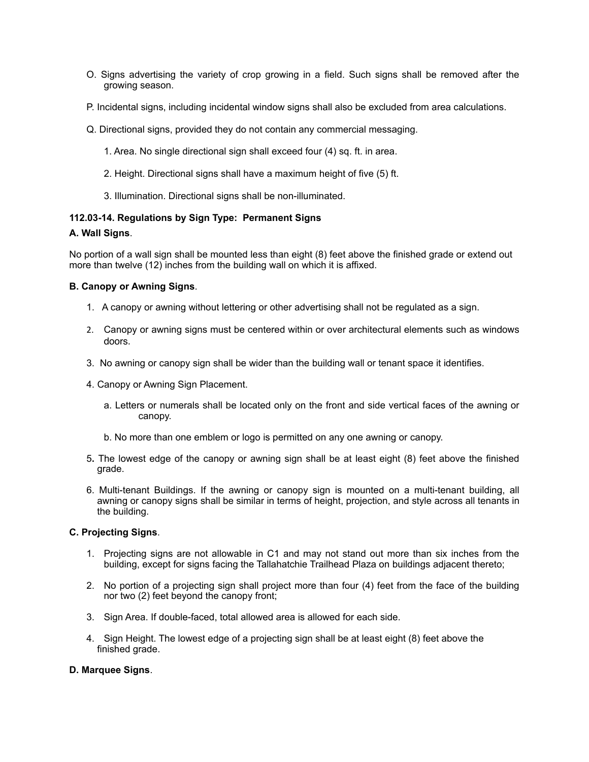- O. Signs advertising the variety of crop growing in a field. Such signs shall be removed after the growing season.
- P. Incidental signs, including incidental window signs shall also be excluded from area calculations.
- Q. Directional signs, provided they do not contain any commercial messaging.
	- 1. Area. No single directional sign shall exceed four (4) sq. ft. in area.
	- 2. Height. Directional signs shall have a maximum height of five (5) ft.
	- 3. Illumination. Directional signs shall be non-illuminated.

# **112.03-14. Regulations by Sign Type: Permanent Signs**

#### **A. Wall Signs**.

No portion of a wall sign shall be mounted less than eight (8) feet above the finished grade or extend out more than twelve (12) inches from the building wall on which it is affixed.

#### **B. Canopy or Awning Signs**.

- 1. A canopy or awning without lettering or other advertising shall not be regulated as a sign.
- 2. Canopy or awning signs must be centered within or over architectural elements such as windows doors.
- 3. No awning or canopy sign shall be wider than the building wall or tenant space it identifies.
- 4. Canopy or Awning Sign Placement.
	- a. Letters or numerals shall be located only on the front and side vertical faces of the awning or canopy.
	- b. No more than one emblem or logo is permitted on any one awning or canopy.
- 5**.** The lowest edge of the canopy or awning sign shall be at least eight (8) feet above the finished grade.
- 6. Multi-tenant Buildings. If the awning or canopy sign is mounted on a multi-tenant building, all awning or canopy signs shall be similar in terms of height, projection, and style across all tenants in the building.

#### **C. Projecting Signs**.

- 1. Projecting signs are not allowable in C1 and may not stand out more than six inches from the building, except for signs facing the Tallahatchie Trailhead Plaza on buildings adjacent thereto;
- 2. No portion of a projecting sign shall project more than four (4) feet from the face of the building nor two (2) feet beyond the canopy front;
- 3. Sign Area. If double-faced, total allowed area is allowed for each side.
- 4. Sign Height. The lowest edge of a projecting sign shall be at least eight (8) feet above the finished grade.

# **D. Marquee Signs**.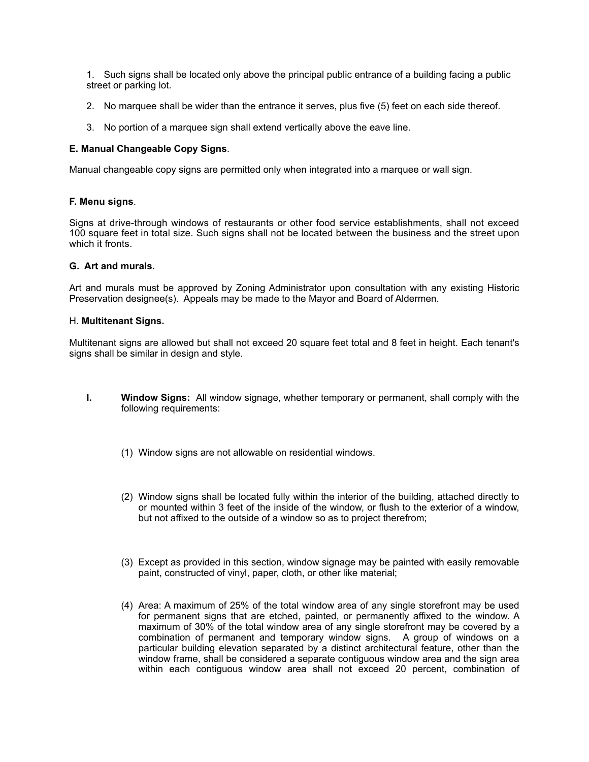1. Such signs shall be located only above the principal public entrance of a building facing a public street or parking lot.

- 2. No marquee shall be wider than the entrance it serves, plus five (5) feet on each side thereof.
- 3. No portion of a marquee sign shall extend vertically above the eave line.

# **E. Manual Changeable Copy Signs**.

Manual changeable copy signs are permitted only when integrated into a marquee or wall sign.

# **F. Menu signs**.

Signs at drive-through windows of restaurants or other food service establishments, shall not exceed 100 square feet in total size. Such signs shall not be located between the business and the street upon which it fronts.

# **G. Art and murals.**

Art and murals must be approved by Zoning Administrator upon consultation with any existing Historic Preservation designee(s). Appeals may be made to the Mayor and Board of Aldermen.

#### H. **Multitenant Signs.**

Multitenant signs are allowed but shall not exceed 20 square feet total and 8 feet in height. Each tenant's signs shall be similar in design and style.

- **I. Window Signs:** All window signage, whether temporary or permanent, shall comply with the following requirements:
	- (1) Window signs are not allowable on residential windows.
	- (2) Window signs shall be located fully within the interior of the building, attached directly to or mounted within 3 feet of the inside of the window, or flush to the exterior of a window, but not affixed to the outside of a window so as to project therefrom;
	- (3) Except as provided in this section, window signage may be painted with easily removable paint, constructed of vinyl, paper, cloth, or other like material;
	- (4) Area: A maximum of 25% of the total window area of any single storefront may be used for permanent signs that are etched, painted, or permanently affixed to the window. A maximum of 30% of the total window area of any single storefront may be covered by a combination of permanent and temporary window signs. A group of windows on a particular building elevation separated by a distinct architectural feature, other than the window frame, shall be considered a separate contiguous window area and the sign area within each contiguous window area shall not exceed 20 percent, combination of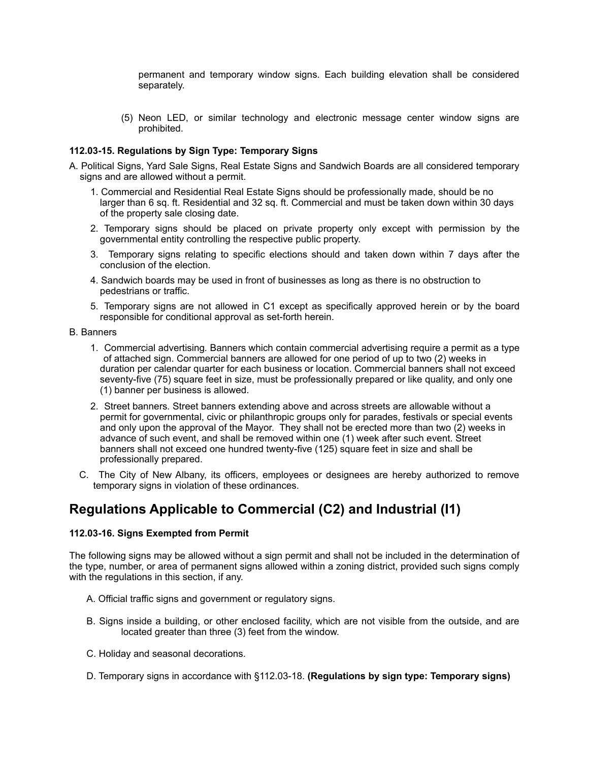permanent and temporary window signs. Each building elevation shall be considered separately.

(5) Neon LED, or similar technology and electronic message center window signs are prohibited.

#### **112.03-15. Regulations by Sign Type: Temporary Signs**

- A. Political Signs, Yard Sale Signs, Real Estate Signs and Sandwich Boards are all considered temporary signs and are allowed without a permit.
	- 1. Commercial and Residential Real Estate Signs should be professionally made, should be no larger than 6 sq. ft. Residential and 32 sq. ft. Commercial and must be taken down within 30 days of the property sale closing date.
	- 2. Temporary signs should be placed on private property only except with permission by the governmental entity controlling the respective public property.
	- 3. Temporary signs relating to specific elections should and taken down within 7 days after the conclusion of the election.
	- 4. Sandwich boards may be used in front of businesses as long as there is no obstruction to pedestrians or traffic.
	- 5. Temporary signs are not allowed in C1 except as specifically approved herein or by the board responsible for conditional approval as set-forth herein.

B. Banners

- 1. Commercial advertising*.* Banners which contain commercial advertising require a permit as a type of attached sign. Commercial banners are allowed for one period of up to two (2) weeks in duration per calendar quarter for each business or location. Commercial banners shall not exceed seventy-five (75) square feet in size, must be professionally prepared or like quality, and only one (1) banner per business is allowed.
- 2. Street banners*.* Street banners extending above and across streets are allowable without a permit for governmental, civic or philanthropic groups only for parades, festivals or special events and only upon the approval of the Mayor. They shall not be erected more than two (2) weeks in advance of such event, and shall be removed within one (1) week after such event. Street banners shall not exceed one hundred twenty-five (125) square feet in size and shall be professionally prepared.
- C. The City of New Albany, its officers, employees or designees are hereby authorized to remove temporary signs in violation of these ordinances.

# **Regulations Applicable to Commercial (C2) and Industrial (I1)**

#### **112.03-16. Signs Exempted from Permit**

The following signs may be allowed without a sign permit and shall not be included in the determination of the type, number, or area of permanent signs allowed within a zoning district, provided such signs comply with the regulations in this section, if any.

- A. Official traffic signs and government or regulatory signs.
- B. Signs inside a building, or other enclosed facility, which are not visible from the outside, and are located greater than three (3) feet from the window.
- C. Holiday and seasonal decorations.
- D. Temporary signs in accordance with §112.03-18. **(Regulations by sign type: Temporary signs)**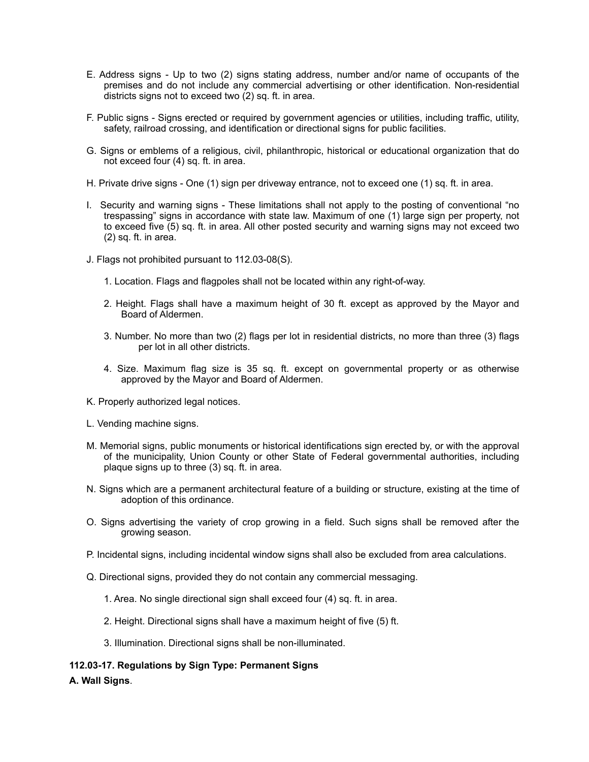- E. Address signs Up to two (2) signs stating address, number and/or name of occupants of the premises and do not include any commercial advertising or other identification. Non-residential districts signs not to exceed two (2) sq. ft. in area.
- F. Public signs Signs erected or required by government agencies or utilities, including traffic, utility, safety, railroad crossing, and identification or directional signs for public facilities.
- G. Signs or emblems of a religious, civil, philanthropic, historical or educational organization that do not exceed four (4) sq. ft. in area.
- H. Private drive signs One (1) sign per driveway entrance, not to exceed one (1) sq. ft. in area.
- I. Security and warning signs These limitations shall not apply to the posting of conventional "no trespassing" signs in accordance with state law. Maximum of one (1) large sign per property, not to exceed five (5) sq. ft. in area. All other posted security and warning signs may not exceed two (2) sq. ft. in area.
- J. Flags not prohibited pursuant to 112.03-08(S).
	- 1. Location. Flags and flagpoles shall not be located within any right-of-way.
	- 2. Height. Flags shall have a maximum height of 30 ft. except as approved by the Mayor and Board of Aldermen.
	- 3. Number. No more than two (2) flags per lot in residential districts, no more than three (3) flags per lot in all other districts.
	- 4. Size. Maximum flag size is 35 sq. ft. except on governmental property or as otherwise approved by the Mayor and Board of Aldermen.
- K. Properly authorized legal notices.
- L. Vending machine signs.
- M. Memorial signs, public monuments or historical identifications sign erected by, or with the approval of the municipality, Union County or other State of Federal governmental authorities, including plaque signs up to three (3) sq. ft. in area.
- N. Signs which are a permanent architectural feature of a building or structure, existing at the time of adoption of this ordinance.
- O. Signs advertising the variety of crop growing in a field. Such signs shall be removed after the growing season.
- P. Incidental signs, including incidental window signs shall also be excluded from area calculations.
- Q. Directional signs, provided they do not contain any commercial messaging.
	- 1. Area. No single directional sign shall exceed four (4) sq. ft. in area.
	- 2. Height. Directional signs shall have a maximum height of five (5) ft.
	- 3. Illumination. Directional signs shall be non-illuminated.
- **112.03-17. Regulations by Sign Type: Permanent Signs**
- **A. Wall Signs**.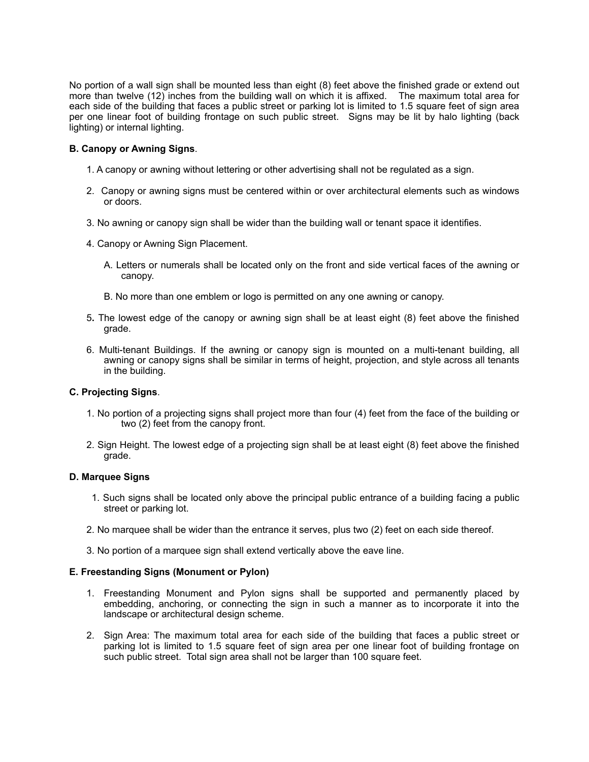No portion of a wall sign shall be mounted less than eight (8) feet above the finished grade or extend out more than twelve (12) inches from the building wall on which it is affixed. The maximum total area for each side of the building that faces a public street or parking lot is limited to 1.5 square feet of sign area per one linear foot of building frontage on such public street. Signs may be lit by halo lighting (back lighting) or internal lighting.

# **B. Canopy or Awning Signs**.

- 1. A canopy or awning without lettering or other advertising shall not be regulated as a sign.
- 2. Canopy or awning signs must be centered within or over architectural elements such as windows or doors.
- 3. No awning or canopy sign shall be wider than the building wall or tenant space it identifies.
- 4. Canopy or Awning Sign Placement.
	- A. Letters or numerals shall be located only on the front and side vertical faces of the awning or canopy.
	- B. No more than one emblem or logo is permitted on any one awning or canopy.
- 5**.** The lowest edge of the canopy or awning sign shall be at least eight (8) feet above the finished grade.
- 6. Multi-tenant Buildings. If the awning or canopy sign is mounted on a multi-tenant building, all awning or canopy signs shall be similar in terms of height, projection, and style across all tenants in the building.

# **C. Projecting Signs**.

- 1. No portion of a projecting signs shall project more than four (4) feet from the face of the building or two (2) feet from the canopy front.
- 2. Sign Height. The lowest edge of a projecting sign shall be at least eight (8) feet above the finished grade.

### **D. Marquee Signs**

- 1. Such signs shall be located only above the principal public entrance of a building facing a public street or parking lot.
- 2. No marquee shall be wider than the entrance it serves, plus two (2) feet on each side thereof.
- 3. No portion of a marquee sign shall extend vertically above the eave line.

#### **E. Freestanding Signs (Monument or Pylon)**

- 1. Freestanding Monument and Pylon signs shall be supported and permanently placed by embedding, anchoring, or connecting the sign in such a manner as to incorporate it into the landscape or architectural design scheme.
- 2. Sign Area: The maximum total area for each side of the building that faces a public street or parking lot is limited to 1.5 square feet of sign area per one linear foot of building frontage on such public street. Total sign area shall not be larger than 100 square feet.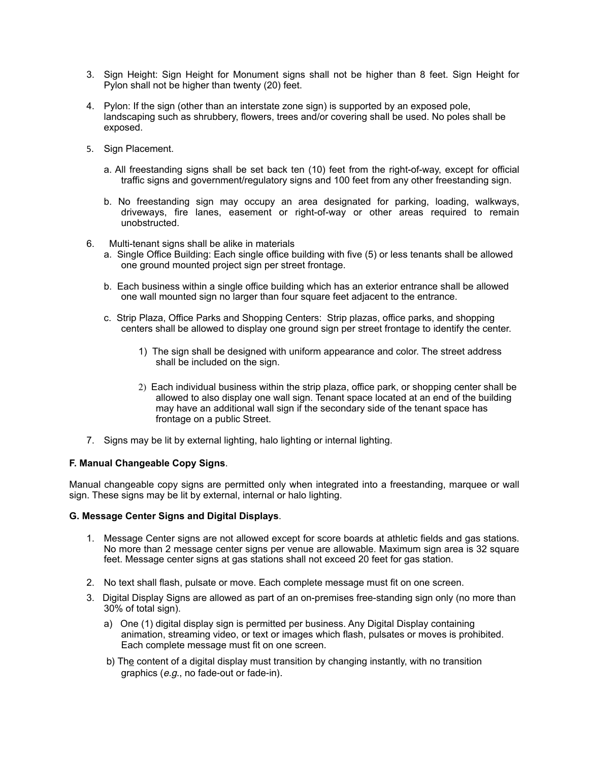- 3. Sign Height: Sign Height for Monument signs shall not be higher than 8 feet. Sign Height for Pylon shall not be higher than twenty (20) feet.
- 4. Pylon: If the sign (other than an interstate zone sign) is supported by an exposed pole, landscaping such as shrubbery, flowers, trees and/or covering shall be used. No poles shall be exposed.
- 5. Sign Placement.
	- a. All freestanding signs shall be set back ten (10) feet from the right-of-way, except for official traffic signs and government/regulatory signs and 100 feet from any other freestanding sign.
	- b. No freestanding sign may occupy an area designated for parking, loading, walkways, driveways, fire lanes, easement or right-of-way or other areas required to remain unobstructed.
- 6. Multi-tenant signs shall be alike in materials
	- a. Single Office Building: Each single office building with five (5) or less tenants shall be allowed one ground mounted project sign per street frontage.
	- b. Each business within a single office building which has an exterior entrance shall be allowed one wall mounted sign no larger than four square feet adjacent to the entrance.
	- c. Strip Plaza, Office Parks and Shopping Centers: Strip plazas, office parks, and shopping centers shall be allowed to display one ground sign per street frontage to identify the center.
		- 1) The sign shall be designed with uniform appearance and color. The street address shall be included on the sign.
		- 2) Each individual business within the strip plaza, office park, or shopping center shall be allowed to also display one wall sign. Tenant space located at an end of the building may have an additional wall sign if the secondary side of the tenant space has frontage on a public Street.
- 7. Signs may be lit by external lighting, halo lighting or internal lighting.

#### **F. Manual Changeable Copy Signs**.

Manual changeable copy signs are permitted only when integrated into a freestanding, marquee or wall sign. These signs may be lit by external, internal or halo lighting.

#### **G. Message Center Signs and Digital Displays**.

- 1. Message Center signs are not allowed except for score boards at athletic fields and gas stations. No more than 2 message center signs per venue are allowable. Maximum sign area is 32 square feet. Message center signs at gas stations shall not exceed 20 feet for gas station.
- 2. No text shall flash, pulsate or move. Each complete message must fit on one screen.
- 3. Digital Display Signs are allowed as part of an on-premises free-standing sign only (no more than 30% of total sign).
	- a) One (1) digital display sign is permitted per business. Any Digital Display containing animation, streaming video, or text or images which flash, pulsates or moves is prohibited. Each complete message must fit on one screen.
	- b) The content of a digital display must transition by changing instantly, with no transition graphics (*e.g*., no fade-out or fade-in).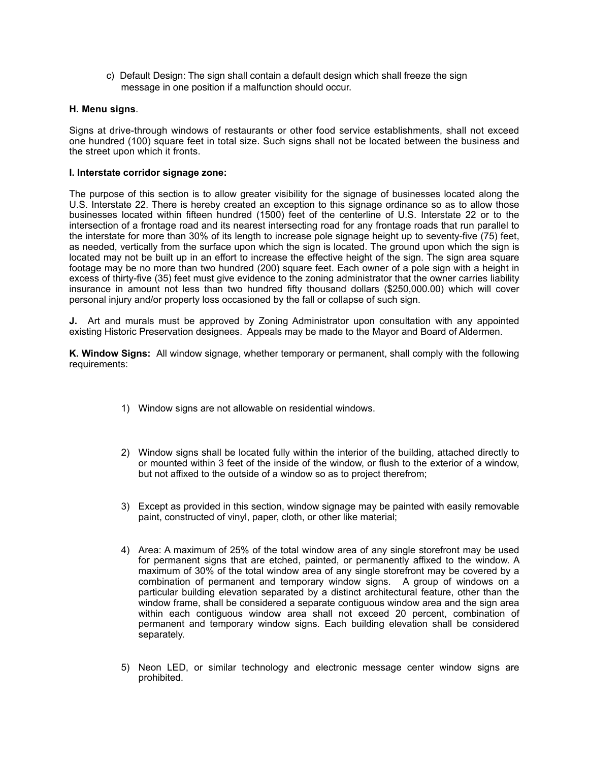c) Default Design: The sign shall contain a default design which shall freeze the sign message in one position if a malfunction should occur.

### **H. Menu signs**.

Signs at drive-through windows of restaurants or other food service establishments, shall not exceed one hundred (100) square feet in total size. Such signs shall not be located between the business and the street upon which it fronts.

#### **I. Interstate corridor signage zone:**

The purpose of this section is to allow greater visibility for the signage of businesses located along the U.S. Interstate 22. There is hereby created an exception to this signage ordinance so as to allow those businesses located within fifteen hundred (1500) feet of the centerline of U.S. Interstate 22 or to the intersection of a frontage road and its nearest intersecting road for any frontage roads that run parallel to the interstate for more than 30% of its length to increase pole signage height up to seventy-five (75) feet, as needed, vertically from the surface upon which the sign is located. The ground upon which the sign is located may not be built up in an effort to increase the effective height of the sign. The sign area square footage may be no more than two hundred (200) square feet. Each owner of a pole sign with a height in excess of thirty-five (35) feet must give evidence to the zoning administrator that the owner carries liability insurance in amount not less than two hundred fifty thousand dollars (\$250,000.00) which will cover personal injury and/or property loss occasioned by the fall or collapse of such sign.

**J.** Art and murals must be approved by Zoning Administrator upon consultation with any appointed existing Historic Preservation designees. Appeals may be made to the Mayor and Board of Aldermen.

**K. Window Signs:** All window signage, whether temporary or permanent, shall comply with the following requirements:

- 1) Window signs are not allowable on residential windows.
- 2) Window signs shall be located fully within the interior of the building, attached directly to or mounted within 3 feet of the inside of the window, or flush to the exterior of a window, but not affixed to the outside of a window so as to project therefrom;
- 3) Except as provided in this section, window signage may be painted with easily removable paint, constructed of vinyl, paper, cloth, or other like material;
- 4) Area: A maximum of 25% of the total window area of any single storefront may be used for permanent signs that are etched, painted, or permanently affixed to the window. A maximum of 30% of the total window area of any single storefront may be covered by a combination of permanent and temporary window signs. A group of windows on a particular building elevation separated by a distinct architectural feature, other than the window frame, shall be considered a separate contiguous window area and the sign area within each contiguous window area shall not exceed 20 percent, combination of permanent and temporary window signs. Each building elevation shall be considered separately.
- 5) Neon LED, or similar technology and electronic message center window signs are prohibited.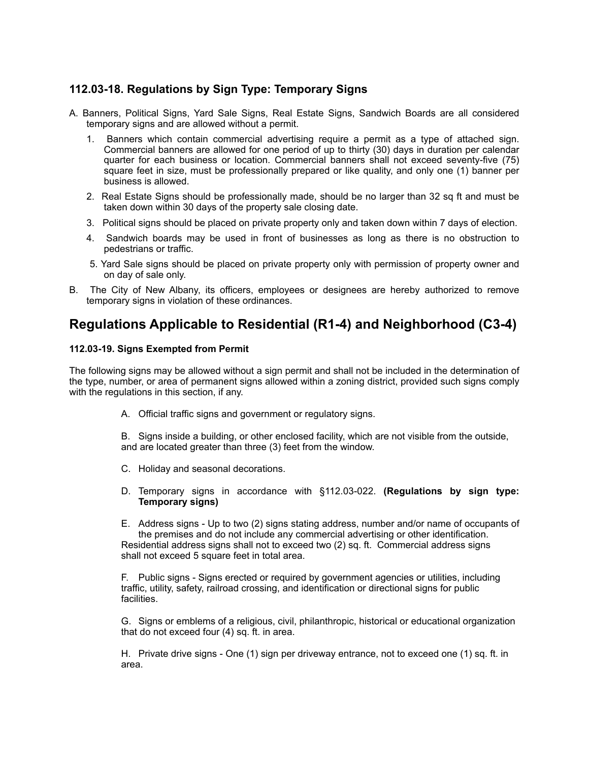# **112.03-18. Regulations by Sign Type: Temporary Signs**

- A. Banners, Political Signs, Yard Sale Signs, Real Estate Signs, Sandwich Boards are all considered temporary signs and are allowed without a permit.
	- 1. Banners which contain commercial advertising require a permit as a type of attached sign. Commercial banners are allowed for one period of up to thirty (30) days in duration per calendar quarter for each business or location. Commercial banners shall not exceed seventy-five (75) square feet in size, must be professionally prepared or like quality, and only one (1) banner per business is allowed.
	- 2. Real Estate Signs should be professionally made, should be no larger than 32 sq ft and must be taken down within 30 days of the property sale closing date.
	- 3. Political signs should be placed on private property only and taken down within 7 days of election.
	- 4. Sandwich boards may be used in front of businesses as long as there is no obstruction to pedestrians or traffic.
	- 5. Yard Sale signs should be placed on private property only with permission of property owner and on day of sale only.
- B. The City of New Albany, its officers, employees or designees are hereby authorized to remove temporary signs in violation of these ordinances.

# **Regulations Applicable to Residential (R1-4) and Neighborhood (C3-4)**

# **112.03-19. Signs Exempted from Permit**

The following signs may be allowed without a sign permit and shall not be included in the determination of the type, number, or area of permanent signs allowed within a zoning district, provided such signs comply with the regulations in this section, if any.

- A. Official traffic signs and government or regulatory signs.
- B. Signs inside a building, or other enclosed facility, which are not visible from the outside, and are located greater than three (3) feet from the window.
- C. Holiday and seasonal decorations.
- D. Temporary signs in accordance with §112.03-022. **(Regulations by sign type: Temporary signs)**
- E. Address signs Up to two (2) signs stating address, number and/or name of occupants of the premises and do not include any commercial advertising or other identification. Residential address signs shall not to exceed two (2) sq. ft. Commercial address signs shall not exceed 5 square feet in total area.

F. Public signs - Signs erected or required by government agencies or utilities, including traffic, utility, safety, railroad crossing, and identification or directional signs for public facilities.

G. Signs or emblems of a religious, civil, philanthropic, historical or educational organization that do not exceed four (4) sq. ft. in area.

H. Private drive signs - One (1) sign per driveway entrance, not to exceed one (1) sq. ft. in area.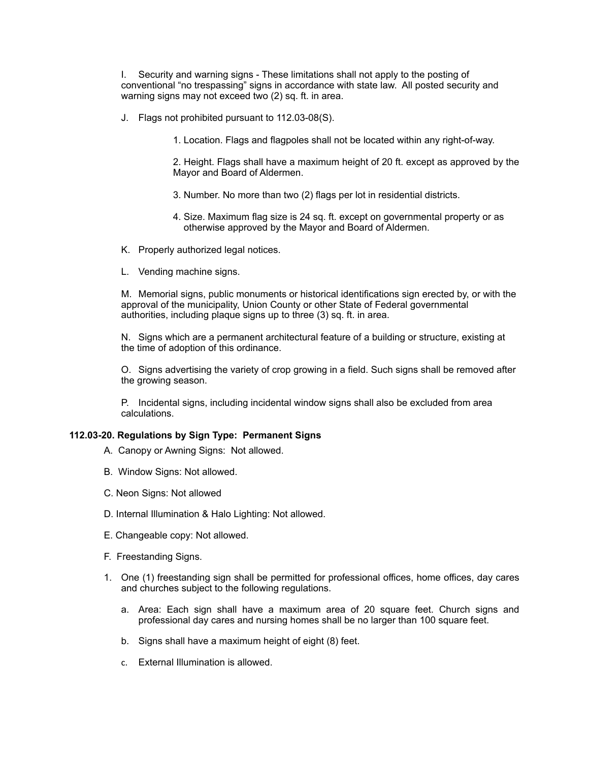I. Security and warning signs - These limitations shall not apply to the posting of conventional "no trespassing" signs in accordance with state law. All posted security and warning signs may not exceed two (2) sq. ft. in area.

J. Flags not prohibited pursuant to 112.03-08(S).

1. Location. Flags and flagpoles shall not be located within any right-of-way.

2. Height. Flags shall have a maximum height of 20 ft. except as approved by the Mayor and Board of Aldermen.

- 3. Number. No more than two (2) flags per lot in residential districts.
- 4. Size. Maximum flag size is 24 sq. ft. except on governmental property or as otherwise approved by the Mayor and Board of Aldermen.
- K. Properly authorized legal notices.
- L. Vending machine signs.

M. Memorial signs, public monuments or historical identifications sign erected by, or with the approval of the municipality, Union County or other State of Federal governmental authorities, including plaque signs up to three (3) sq. ft. in area.

N. Signs which are a permanent architectural feature of a building or structure, existing at the time of adoption of this ordinance.

O. Signs advertising the variety of crop growing in a field. Such signs shall be removed after the growing season.

P. Incidental signs, including incidental window signs shall also be excluded from area calculations.

# **112.03-20. Regulations by Sign Type: Permanent Signs**

- A. Canopy or Awning Signs: Not allowed.
- B. Window Signs: Not allowed.
- C. Neon Signs: Not allowed
- D. Internal Illumination & Halo Lighting: Not allowed.
- E. Changeable copy: Not allowed.
- F. Freestanding Signs.
- 1. One (1) freestanding sign shall be permitted for professional offices, home offices, day cares and churches subject to the following regulations.
	- a. Area: Each sign shall have a maximum area of 20 square feet. Church signs and professional day cares and nursing homes shall be no larger than 100 square feet.
	- b. Signs shall have a maximum height of eight (8) feet.
	- c. External Illumination is allowed.